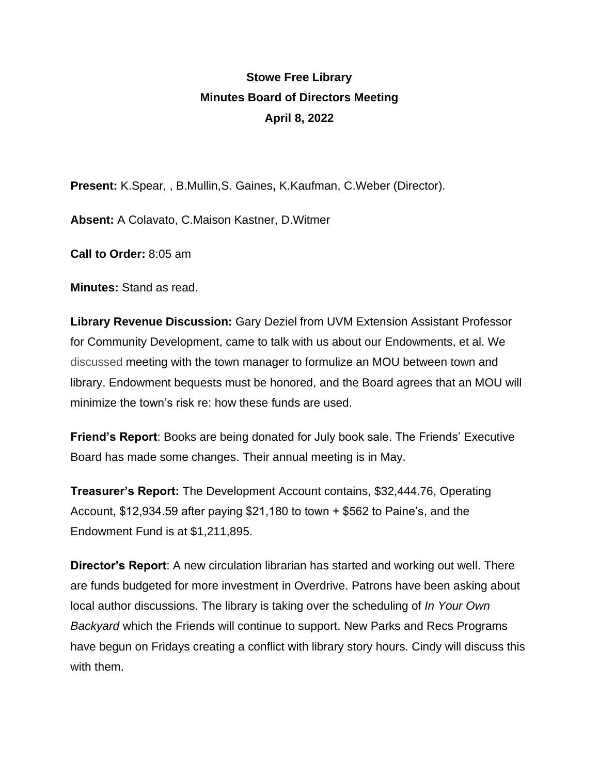## **Stowe Free Library Minutes Board of Directors Meeting April 8, 2022**

**Present:** K.Spear, , B.Mullin,S. Gaines**,** K.Kaufman, C.Weber (Director).

**Absent:** A Colavato, C.Maison Kastner, D.Witmer

**Call to Order:** 8:05 am

**Minutes:** Stand as read.

**Library Revenue Discussion:** Gary Deziel from UVM Extension Assistant Professor for Community Development, came to talk with us about our Endowments, et al. We discussed meeting with the town manager to formulize an MOU between town and library. Endowment bequests must be honored, and the Board agrees that an MOU will minimize the town's risk re: how these funds are used.

**Friend's Report**: Books are being donated for July book sale. The Friends' Executive Board has made some changes. Their annual meeting is in May.

**Treasurer's Report:** The Development Account contains, \$32,444.76, Operating Account, \$12,934.59 after paying \$21,180 to town + \$562 to Paine's, and the Endowment Fund is at \$1,211,895.

**Director's Report**: A new circulation librarian has started and working out well. There are funds budgeted for more investment in Overdrive. Patrons have been asking about local author discussions. The library is taking over the scheduling of *In Your Own Backyard* which the Friends will continue to support. New Parks and Recs Programs have begun on Fridays creating a conflict with library story hours. Cindy will discuss this with them.